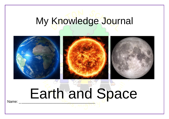# My Knowledge Journal



# **Earth and Space**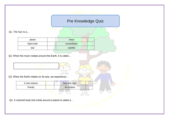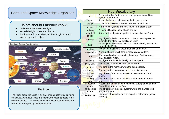# Earth and Space Knowledge Organiser

# What should I already know?

- VITCL SHOULD FORFOUR KNOW:<br>• Darkness is the absence of light
	- Natural daylight comes from the sun
- Shadows are formed when light from a light source is blocked by a solid object



# The Moon

of its axis. At various times in a moment, the moon appears to be<br>different shapes. This is because as the Moon rotates round the Earth, the Sun lights up different parts of it. The Moon orbits the Earth in an oval-shaped path while spinning on its axis. At various times in a month, the Moon appears to be

materials change state when they are heated or cooled

cycle and how evaporation relates to temperature

|  | <b>Key Vocabulary</b> |                                                                                                           |  |  |  |  |  |
|--|-----------------------|-----------------------------------------------------------------------------------------------------------|--|--|--|--|--|
|  | Sun                   | A huge star that Earth and the other planets in our Solar                                                 |  |  |  |  |  |
|  |                       | System orbit around.                                                                                      |  |  |  |  |  |
|  | star                  | A giant ball of gas held together by its own gravity.                                                     |  |  |  |  |  |
|  | moon                  | A natural satellite which orbits Earth or other planets.                                                  |  |  |  |  |  |
|  | planet                | A large object, round or nearly round, that orbits a star.                                                |  |  |  |  |  |
|  | sphere                | A round 3D shape in the shape of a ball.                                                                  |  |  |  |  |  |
|  | spherical<br>bodies   | Astronomical objects shaped like spheres like the Earth.                                                  |  |  |  |  |  |
|  | satellite             | Any object or body in space that orbits something else, for<br>example: the Moon is a satellite of Earth. |  |  |  |  |  |
|  | axis                  | An imaginary line around which a spherical body rotates, for<br>example the Earth.                        |  |  |  |  |  |
|  | rotation              | The action of spinning around an axis or a centre.                                                        |  |  |  |  |  |
|  | constellation         | A group of stars which form a recognisable pattern.                                                       |  |  |  |  |  |
|  | orbit                 | The curved path of a celestial object (e.g. Earth) around a<br>star, planet or moon.                      |  |  |  |  |  |
|  | celestial             | An object positioned in the sky or outer space.                                                           |  |  |  |  |  |
|  | <b>Milky Way</b>      | The galaxy that contains our solar system.                                                                |  |  |  |  |  |
|  | sunrise               | The time in the morning when the sun appears.                                                             |  |  |  |  |  |
|  | sunset                | The time in the evening when the sun disappears.                                                          |  |  |  |  |  |
|  | waxing<br>moon        | Any phase of the moon between a new moon and a full<br>moon.                                              |  |  |  |  |  |
|  | waning<br>moon        | Any phase of the moon between a full moon and a new<br>moon.                                              |  |  |  |  |  |
|  | geocentric<br>model   | A belief that people used to have that other planets and the<br>Sun orbited around the Earth.             |  |  |  |  |  |
|  | heliocentric<br>model | The structure of the solar system where the planets orbit<br>around the Sun.                              |  |  |  |  |  |
|  | astronomer            | Someone who studies or is an expert in astronomy (space<br>science).                                      |  |  |  |  |  |
|  |                       |                                                                                                           |  |  |  |  |  |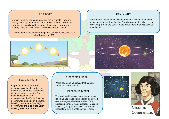#### The planets

Mercury, Venus, Earth and Mars are rocky planets. They are mostly made up of metal and rock. Jupiter, Saturn, Uranus and Neptune are mostly made of gases (helium and hydrogen) although they do have cores made up of rock and metal.

Pluto used to be considered a planet but was reclassified as a dwarf planet in 2006.

materials are known as electrical conductors. Many metals, such as copper, iron and steel, are good electrical conductors. That is



#### through and Night is used in plug in plug in plug in plug in plug in plug in plug in plug in plug in plug in p<br>Through a metal is used in plug in plug in plug in plug in plug in plug in plug in plug in plug in plug in plu electricity to transfer from the wall society to the plug, and  $\Gamma$

It appears to us that the Sun **interpretent up.** I moved around the E Insulators day but the Sun does not move at Some materials do not allow electricity to pass through them. all. It seems to us that the Sun moves because of the<br>movements of the Earth. Daytime stops you from getting an electrical shock. occurs when the side of the Earth moves across the sky during the moves because of the occurs when one side of the Earth is facing towards the Sun. Night is facing away from the Sun.

## why the parts of the parts of the parts of the parts of the parts of the parts of the parts of the parts of the parts of the parts of the parts of the parts of the parts of the parts of the parts of the parts of the parts

**The Co** 

into a radio or TV. In a radio or TV. In a light bulb, the metal planets ago people believed that planets moved around the Earth.

### Heliocentric Model

movements of the Earth. Daytime and electrical insulators. That is copernicus and Kepler) combined  $\frac{1}{2}$  over many years before the idea of the  $\frac{1}{2}$  over many years before the idea of the s facing towards the Sun. Night **interest in the lie of the line of the line** is an electric model was developed. Galileo's The work and ideas of many astronomers work on gravity allowed astronomers to understand how planets stayed in orbit.

## Earth's Orbit

Earth rotates (spins) on its axis. It does a full rotation once every 24 hours. At the same time that the Earth is rotating, it is also orbiting (revolving) around the Sun. It takes a little more than 365 days to orbit the Sun.





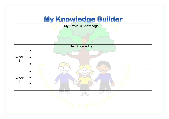# My Knowledge Builder

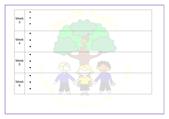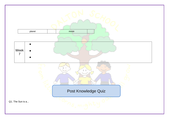